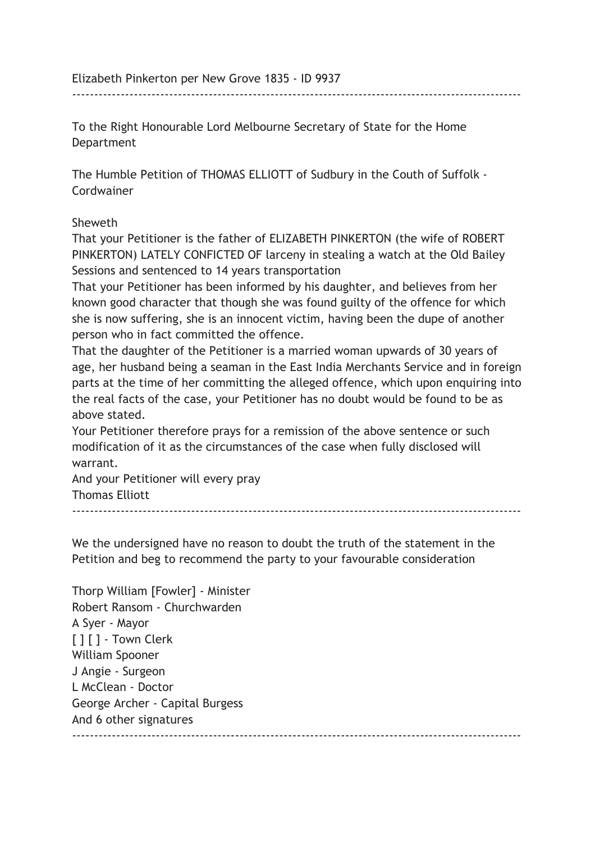Elizabeth Pinkerton per New Grove 1835 - ID 9937

To the Right Honourable Lord Melbourne Secretary of State for the Home Department

------------------------------------------------------------------------------------------------------

The Humble Petition of THOMAS ELLIOTT of Sudbury in the Couth of Suffolk - Cordwainer

## Sheweth

That your Petitioner is the father of ELIZABETH PINKERTON (the wife of ROBERT PINKERTON) LATELY CONFICTED OF larceny in stealing a watch at the Old Bailey Sessions and sentenced to 14 years transportation

That your Petitioner has been informed by his daughter, and believes from her known good character that though she was found guilty of the offence for which she is now suffering, she is an innocent victim, having been the dupe of another person who in fact committed the offence.

That the daughter of the Petitioner is a married woman upwards of 30 years of age, her husband being a seaman in the East India Merchants Service and in foreign parts at the time of her committing the alleged offence, which upon enquiring into the real facts of the case, your Petitioner has no doubt would be found to be as above stated.

Your Petitioner therefore prays for a remission of the above sentence or such modification of it as the circumstances of the case when fully disclosed will warrant.

And your Petitioner will every pray Thomas Elliott  $-$ 

We the undersigned have no reason to doubt the truth of the statement in the Petition and beg to recommend the party to your favourable consideration

Thorp William [Fowler] - Minister Robert Ransom - Churchwarden A Syer - Mayor [ ] [ ] - Town Clerk William Spooner J Angie - Surgeon L McClean - Doctor George Archer - Capital Burgess And 6 other signatures ------------------------------------------------------------------------------------------------------